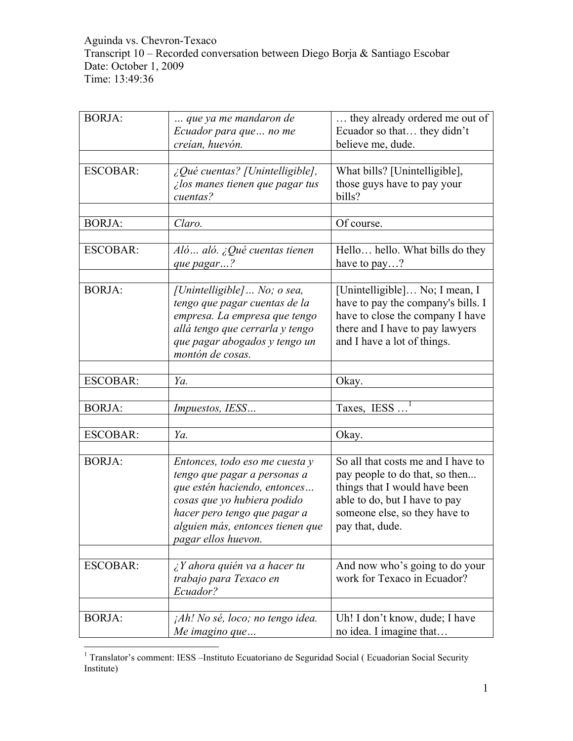Aguinda vs. Chevron-Texaco Transcript 10 – Recorded conversation between Diego Borja & Santiago Escobar Date: October 1, 2009 Time: 13:49:36

| <b>BORJA:</b>   | que ya me mandaron de                                         | they already ordered me out of                                       |
|-----------------|---------------------------------------------------------------|----------------------------------------------------------------------|
|                 | Ecuador para que  no me<br>creían, huevón.                    | Ecuador so that they didn't<br>believe me, dude.                     |
|                 |                                                               |                                                                      |
| <b>ESCOBAR:</b> | ¿Qué cuentas? [Unintelligible],                               | What bills? [Unintelligible],                                        |
|                 | ilos manes tienen que pagar tus                               | those guys have to pay your                                          |
|                 | cuentas?                                                      | bills?                                                               |
|                 |                                                               |                                                                      |
| <b>BORJA:</b>   | Claro.                                                        | Of course.                                                           |
|                 |                                                               |                                                                      |
| <b>ESCOBAR:</b> | Aló  aló. ¿Qué cuentas tienen                                 | Hello hello. What bills do they                                      |
|                 | que pagar?                                                    | have to pay?                                                         |
| <b>BORJA:</b>   |                                                               |                                                                      |
|                 | [Unintelligible]  No; o sea,<br>tengo que pagar cuentas de la | [Unintelligible] No; I mean, I<br>have to pay the company's bills. I |
|                 | empresa. La empresa que tengo                                 | have to close the company I have                                     |
|                 | allá tengo que cerrarla y tengo                               | there and I have to pay lawyers                                      |
|                 | que pagar abogados y tengo un                                 | and I have a lot of things.                                          |
|                 | montón de cosas.                                              |                                                                      |
|                 |                                                               |                                                                      |
| <b>ESCOBAR:</b> | Ya.                                                           | Okay.                                                                |
|                 |                                                               |                                                                      |
| <b>BORJA:</b>   | Impuestos, IESS                                               | Taxes, $IESS$ <sup>1</sup>                                           |
|                 |                                                               |                                                                      |
| <b>ESCOBAR:</b> | Ya.                                                           | Okay.                                                                |
|                 |                                                               |                                                                      |
| <b>BORJA:</b>   | Entonces, todo eso me cuesta y                                | So all that costs me and I have to                                   |
|                 | tengo que pagar a personas a                                  | pay people to do that, so then                                       |
|                 | que estén haciendo, entonces                                  | things that I would have been                                        |
|                 | cosas que yo hubiera podido                                   | able to do, but I have to pay                                        |
|                 | hacer pero tengo que pagar a                                  | someone else, so they have to                                        |
|                 | alguien más, entonces tienen que<br>pagar ellos huevon.       | pay that, dude.                                                      |
|                 |                                                               |                                                                      |
| <b>ESCOBAR:</b> | $\lambda$ Y ahora quién va a hacer tu                         | And now who's going to do your                                       |
|                 | trabajo para Texaco en                                        | work for Texaco in Ecuador?                                          |
|                 | Ecuador?                                                      |                                                                      |
|                 |                                                               |                                                                      |
| <b>BORJA:</b>   | jAh! No sé, loco; no tengo idea.                              | Uh! I don't know, dude; I have                                       |
|                 | Me imagino que                                                | no idea. I imagine that                                              |

<sup>&</sup>lt;sup>1</sup> Translator's comment: IESS –Instituto Ecuatoriano de Seguridad Social ( Ecuadorian Social Security Institute)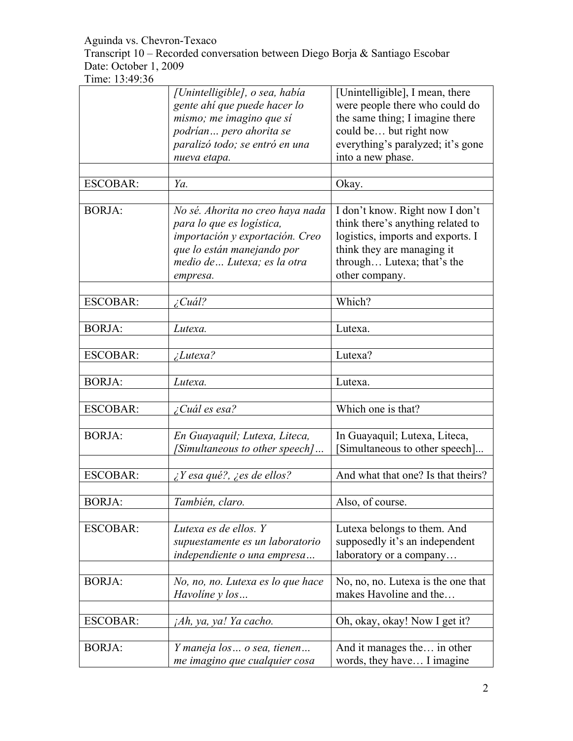Transcript 10 – Recorded conversation between Diego Borja & Santiago Escobar Date: October 1, 2009

|                 | [Unintelligible], o sea, había<br>gente ahí que puede hacer lo<br>mismo; me imagino que sí                                                                                 | [Unintelligible], I mean, there<br>were people there who could do<br>the same thing; I imagine there                                                                                    |
|-----------------|----------------------------------------------------------------------------------------------------------------------------------------------------------------------------|-----------------------------------------------------------------------------------------------------------------------------------------------------------------------------------------|
|                 | podrían pero ahorita se<br>paralizó todo; se entró en una                                                                                                                  | could be but right now<br>everything's paralyzed; it's gone                                                                                                                             |
|                 | nueva etapa.                                                                                                                                                               | into a new phase.                                                                                                                                                                       |
| <b>ESCOBAR:</b> | Ya.                                                                                                                                                                        | Okay.                                                                                                                                                                                   |
| <b>BORJA:</b>   | No sé. Ahorita no creo haya nada<br>para lo que es logística,<br>importación y exportación. Creo<br>que lo están manejando por<br>medio de  Lutexa; es la otra<br>empresa. | I don't know. Right now I don't<br>think there's anything related to<br>logistics, imports and exports. I<br>think they are managing it<br>through Lutexa; that's the<br>other company. |
| <b>ESCOBAR:</b> | $\angle$ Cuál?                                                                                                                                                             | Which?                                                                                                                                                                                  |
| <b>BORJA:</b>   | Lutexa.                                                                                                                                                                    | Lutexa.                                                                                                                                                                                 |
| <b>ESCOBAR:</b> | <i>Lutexa?</i>                                                                                                                                                             | Lutexa?                                                                                                                                                                                 |
| <b>BORJA:</b>   | Lutexa.                                                                                                                                                                    | Lutexa.                                                                                                                                                                                 |
| <b>ESCOBAR:</b> | ¿Cuál es esa?                                                                                                                                                              | Which one is that?                                                                                                                                                                      |
| <b>BORJA:</b>   | En Guayaquil; Lutexa, Liteca,<br>[Simultaneous to other speech]                                                                                                            | In Guayaquil; Lutexa, Liteca,<br>Simultaneous to other speech]                                                                                                                          |
| <b>ESCOBAR:</b> | $\zeta$ Y esa qué?, $\zeta$ es de ellos?                                                                                                                                   | And what that one? Is that theirs?                                                                                                                                                      |
| <b>BORJA:</b>   | También, claro.                                                                                                                                                            | Also, of course.                                                                                                                                                                        |
| <b>ESCOBAR:</b> | Lutexa es de ellos. Y<br>supuestamente es un laboratorio<br>independiente o una empresa                                                                                    | Lutexa belongs to them. And<br>supposedly it's an independent<br>laboratory or a company                                                                                                |
| <b>BORJA:</b>   | No, no, no. Lutexa es lo que hace<br>Havoline y los                                                                                                                        | No, no, no. Lutexa is the one that<br>makes Havoline and the                                                                                                                            |
| <b>ESCOBAR:</b> | jAh, ya, ya! Ya cacho.                                                                                                                                                     | Oh, okay, okay! Now I get it?                                                                                                                                                           |
| <b>BORJA:</b>   | Y maneja los  o sea, tienen<br>me imagino que cualquier cosa                                                                                                               | And it manages the in other<br>words, they have I imagine                                                                                                                               |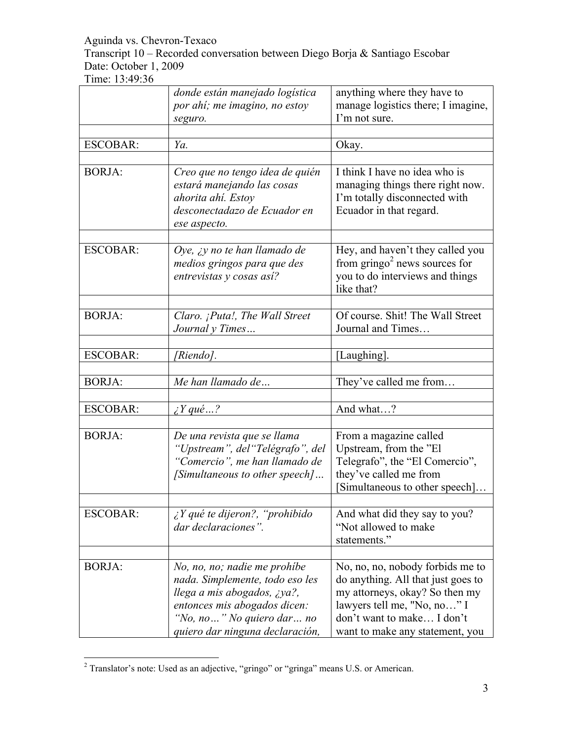Transcript 10 – Recorded conversation between Diego Borja & Santiago Escobar Date: October 1, 2009

|                 | donde están manejado logística<br>por ahí; me imagino, no estoy<br>seguro.                                                                                                                     | anything where they have to<br>manage logistics there; I imagine,<br>I'm not sure.                                                                                                                       |
|-----------------|------------------------------------------------------------------------------------------------------------------------------------------------------------------------------------------------|----------------------------------------------------------------------------------------------------------------------------------------------------------------------------------------------------------|
| <b>ESCOBAR:</b> | Ya.                                                                                                                                                                                            | Okay.                                                                                                                                                                                                    |
| <b>BORJA:</b>   | Creo que no tengo idea de quién<br>estará manejando las cosas<br>ahorita ahí. Estoy<br>desconectadazo de Ecuador en<br>ese aspecto.                                                            | I think I have no idea who is<br>managing things there right now.<br>I'm totally disconnected with<br>Ecuador in that regard.                                                                            |
| <b>ESCOBAR:</b> | Oye, $\chi$ y no te han llamado de<br>medios gringos para que des<br>entrevistas y cosas así?                                                                                                  | Hey, and haven't they called you<br>from $gringo2$ news sources for<br>you to do interviews and things<br>like that?                                                                                     |
| <b>BORJA:</b>   | Claro. ¡Puta!, The Wall Street<br>Journal y Times                                                                                                                                              | Of course. Shit! The Wall Street<br>Journal and Times                                                                                                                                                    |
| <b>ESCOBAR:</b> | [Riendo].                                                                                                                                                                                      | [Laughing].                                                                                                                                                                                              |
| <b>BORJA:</b>   | Me han llamado de                                                                                                                                                                              | They've called me from                                                                                                                                                                                   |
| <b>ESCOBAR:</b> | $\lambda$ Y qué ?                                                                                                                                                                              | And what?                                                                                                                                                                                                |
| <b>BORJA:</b>   | De una revista que se llama<br>"Upstream", del "Telégrafo", del<br>"Comercio", me han llamado de<br>[Simultaneous to other speech]                                                             | From a magazine called<br>Upstream, from the "El<br>Telegrafo", the "El Comercio",<br>they've called me from<br>[Simultaneous to other speech]                                                           |
| <b>ESCOBAR:</b> | $i Y$ qué te dijeron?, "prohibido"<br>dar declaraciones".                                                                                                                                      | And what did they say to you?<br>"Not allowed to make"<br>statements."                                                                                                                                   |
| <b>BORJA:</b>   | No, no, no; nadie me prohíbe<br>nada. Simplemente, todo eso les<br>llega a mis abogados, ¿ya?,<br>entonces mis abogados dicen:<br>"No, no" No quiero dar no<br>quiero dar ninguna declaración, | No, no, no, nobody forbids me to<br>do anything. All that just goes to<br>my attorneys, okay? So then my<br>lawyers tell me, "No, no" I<br>don't want to make I don't<br>want to make any statement, you |

 $\frac{1}{2}$ Translator's note: Used as an adjective, "gringo" or "gringa" means U.S. or American.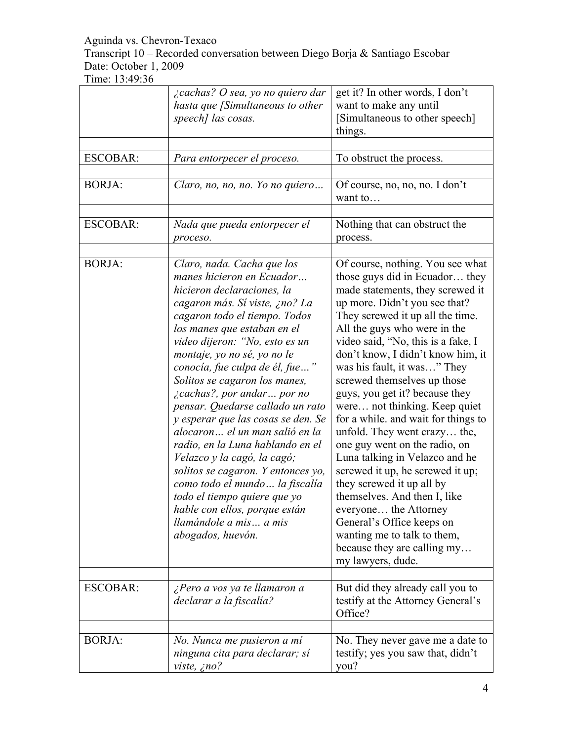Transcript 10 – Recorded conversation between Diego Borja & Santiago Escobar Date: October 1, 2009

|                 | <i>i</i> cachas? O sea, yo no quiero dar<br>hasta que [Simultaneous to other<br>speech] las cosas.                                                                                                                                                                                                                                                                                                                                                                                                                                                                                                                                                                                                                                      | get it? In other words, I don't<br>want to make any until<br>[Simultaneous to other speech]<br>things.                                                                                                                                                                                                                                                                                                                                                                                                                                                                                                                                                                                                                                                                                                      |
|-----------------|-----------------------------------------------------------------------------------------------------------------------------------------------------------------------------------------------------------------------------------------------------------------------------------------------------------------------------------------------------------------------------------------------------------------------------------------------------------------------------------------------------------------------------------------------------------------------------------------------------------------------------------------------------------------------------------------------------------------------------------------|-------------------------------------------------------------------------------------------------------------------------------------------------------------------------------------------------------------------------------------------------------------------------------------------------------------------------------------------------------------------------------------------------------------------------------------------------------------------------------------------------------------------------------------------------------------------------------------------------------------------------------------------------------------------------------------------------------------------------------------------------------------------------------------------------------------|
| <b>ESCOBAR:</b> | Para entorpecer el proceso.                                                                                                                                                                                                                                                                                                                                                                                                                                                                                                                                                                                                                                                                                                             | To obstruct the process.                                                                                                                                                                                                                                                                                                                                                                                                                                                                                                                                                                                                                                                                                                                                                                                    |
| <b>BORJA:</b>   | Claro, no, no, no. Yo no quiero                                                                                                                                                                                                                                                                                                                                                                                                                                                                                                                                                                                                                                                                                                         | Of course, no, no, no. I don't<br>want to                                                                                                                                                                                                                                                                                                                                                                                                                                                                                                                                                                                                                                                                                                                                                                   |
| <b>ESCOBAR:</b> | Nada que pueda entorpecer el<br>proceso.                                                                                                                                                                                                                                                                                                                                                                                                                                                                                                                                                                                                                                                                                                | Nothing that can obstruct the<br>process.                                                                                                                                                                                                                                                                                                                                                                                                                                                                                                                                                                                                                                                                                                                                                                   |
| <b>BORJA:</b>   | Claro, nada. Cacha que los<br>manes hicieron en Ecuador<br>hicieron declaraciones, la<br>cagaron más. Sí viste, ¿no? La<br>cagaron todo el tiempo. Todos<br>los manes que estaban en el<br>video dijeron: "No, esto es un<br>montaje, yo no sé, yo no le<br>conocía, fue culpa de él, fue"<br>Solitos se cagaron los manes,<br><i>cachas?, por andar por no</i><br>pensar. Quedarse callado un rato<br>y esperar que las cosas se den. Se<br>alocaron el un man salió en la<br>radio, en la Luna hablando en el<br>Velazco y la cagó, la cagó;<br>solitos se cagaron. Y entonces yo,<br>como todo el mundo  la fiscalía<br>todo el tiempo quiere que yo<br>hable con ellos, porque están<br>llamándole a mis a mis<br>abogados, huevón. | Of course, nothing. You see what<br>those guys did in Ecuador they<br>made statements, they screwed it<br>up more. Didn't you see that?<br>They screwed it up all the time.<br>All the guys who were in the<br>video said, "No, this is a fake, I<br>don't know, I didn't know him, it<br>was his fault, it was" They<br>screwed themselves up those<br>guys, you get it? because they<br>were not thinking. Keep quiet<br>for a while, and wait for things to<br>unfold. They went crazy the,<br>one guy went on the radio, on<br>Luna talking in Velazco and he<br>screwed it up, he screwed it up;<br>they screwed it up all by<br>themselves. And then I, like<br>everyone the Attorney<br>General's Office keeps on<br>wanting me to talk to them,<br>because they are calling my<br>my lawyers, dude. |
| <b>ESCOBAR:</b> | ¿Pero a vos ya te llamaron a<br>declarar a la fiscalía?                                                                                                                                                                                                                                                                                                                                                                                                                                                                                                                                                                                                                                                                                 | But did they already call you to<br>testify at the Attorney General's<br>Office?                                                                                                                                                                                                                                                                                                                                                                                                                                                                                                                                                                                                                                                                                                                            |
| <b>BORJA:</b>   | No. Nunca me pusieron a mí<br>ninguna cita para declarar; sí<br>viste, ¿no?                                                                                                                                                                                                                                                                                                                                                                                                                                                                                                                                                                                                                                                             | No. They never gave me a date to<br>testify; yes you saw that, didn't<br>you?                                                                                                                                                                                                                                                                                                                                                                                                                                                                                                                                                                                                                                                                                                                               |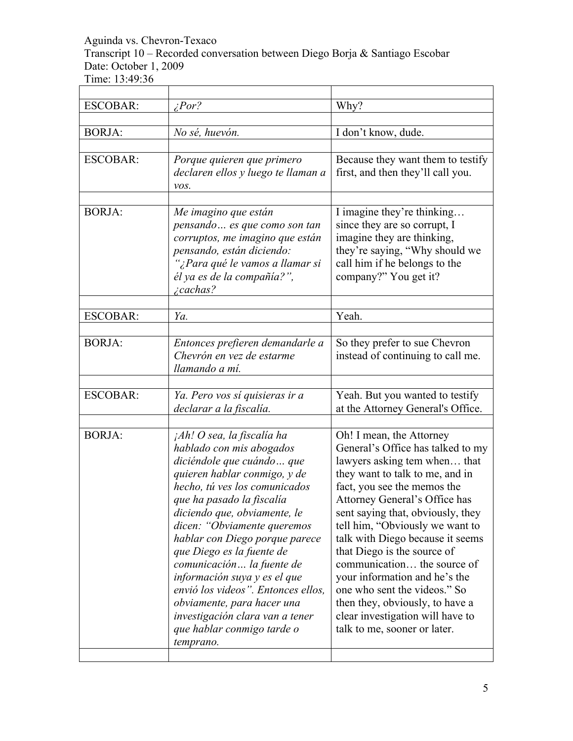Transcript 10 – Recorded conversation between Diego Borja & Santiago Escobar Date: October 1, 2009

 $\overline{ }$ 

Time: 13:49:36

| <b>ESCOBAR:</b> | $\angle Por?$                                                                                                                                                                                                                                                                                                                                                                                                                                                                                                                   | Why?                                                                                                                                                                                                                                                                                                                                                                                                                                                                                                                                               |
|-----------------|---------------------------------------------------------------------------------------------------------------------------------------------------------------------------------------------------------------------------------------------------------------------------------------------------------------------------------------------------------------------------------------------------------------------------------------------------------------------------------------------------------------------------------|----------------------------------------------------------------------------------------------------------------------------------------------------------------------------------------------------------------------------------------------------------------------------------------------------------------------------------------------------------------------------------------------------------------------------------------------------------------------------------------------------------------------------------------------------|
| <b>BORJA:</b>   | No sé, huevón.                                                                                                                                                                                                                                                                                                                                                                                                                                                                                                                  | I don't know, dude.                                                                                                                                                                                                                                                                                                                                                                                                                                                                                                                                |
| <b>ESCOBAR:</b> | Porque quieren que primero<br>declaren ellos y luego te llaman a<br>vos.                                                                                                                                                                                                                                                                                                                                                                                                                                                        | Because they want them to testify<br>first, and then they'll call you.                                                                                                                                                                                                                                                                                                                                                                                                                                                                             |
| <b>BORJA:</b>   | Me imagino que están<br>pensando  es que como son tan<br>corruptos, me imagino que están<br>pensando, están diciendo:<br>"¿Para qué le vamos a llamar si<br>él ya es de la compañía?",<br><i>cachas?</i>                                                                                                                                                                                                                                                                                                                        | I imagine they're thinking<br>since they are so corrupt, I<br>imagine they are thinking,<br>they're saying, "Why should we<br>call him if he belongs to the<br>company?" You get it?                                                                                                                                                                                                                                                                                                                                                               |
| <b>ESCOBAR:</b> | Ya.                                                                                                                                                                                                                                                                                                                                                                                                                                                                                                                             | Yeah.                                                                                                                                                                                                                                                                                                                                                                                                                                                                                                                                              |
|                 |                                                                                                                                                                                                                                                                                                                                                                                                                                                                                                                                 |                                                                                                                                                                                                                                                                                                                                                                                                                                                                                                                                                    |
| <b>BORJA:</b>   | Entonces prefieren demandarle a<br>Chevrón en vez de estarme<br>llamando a mí.                                                                                                                                                                                                                                                                                                                                                                                                                                                  | So they prefer to sue Chevron<br>instead of continuing to call me.                                                                                                                                                                                                                                                                                                                                                                                                                                                                                 |
| <b>ESCOBAR:</b> | Ya. Pero vos sí quisieras ir a<br>declarar a la fiscalía.                                                                                                                                                                                                                                                                                                                                                                                                                                                                       | Yeah. But you wanted to testify<br>at the Attorney General's Office.                                                                                                                                                                                                                                                                                                                                                                                                                                                                               |
| <b>BORJA:</b>   | jAh! O sea, la fiscalía ha<br>hablado con mis abogados<br>diciéndole que cuándo  que<br>quieren hablar conmigo, y de<br>hecho, tú ves los comunicados<br>que ha pasado la fiscalía<br>diciendo que, obviamente, le<br>dicen: "Obviamente queremos<br>hablar con Diego porque parece<br>que Diego es la fuente de<br>comunicación la fuente de<br>información suya y es el que<br>envió los videos". Entonces ellos,<br>obviamente, para hacer una<br>investigación clara van a tener<br>que hablar conmigo tarde o<br>temprano. | Oh! I mean, the Attorney<br>General's Office has talked to my<br>lawyers asking tem when that<br>they want to talk to me, and in<br>fact, you see the memos the<br>Attorney General's Office has<br>sent saying that, obviously, they<br>tell him, "Obviously we want to<br>talk with Diego because it seems<br>that Diego is the source of<br>communication the source of<br>your information and he's the<br>one who sent the videos." So<br>then they, obviously, to have a<br>clear investigation will have to<br>talk to me, sooner or later. |

 $\overline{\phantom{a}}$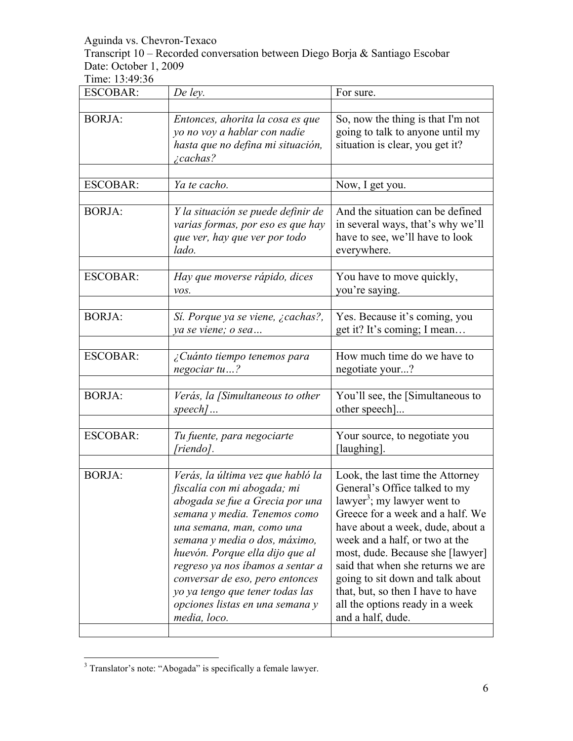Transcript 10 – Recorded conversation between Diego Borja & Santiago Escobar Date: October 1, 2009

Time: 13:49:36

| <b>ESCOBAR:</b> | De ley.                                                                                                                                                                                                                                                                                                                                                                                           | For sure.                                                                                                                                                                                                                                                                                                                                                                                                                        |
|-----------------|---------------------------------------------------------------------------------------------------------------------------------------------------------------------------------------------------------------------------------------------------------------------------------------------------------------------------------------------------------------------------------------------------|----------------------------------------------------------------------------------------------------------------------------------------------------------------------------------------------------------------------------------------------------------------------------------------------------------------------------------------------------------------------------------------------------------------------------------|
| <b>BORJA:</b>   | Entonces, ahorita la cosa es que<br>yo no voy a hablar con nadie<br>hasta que no defina mi situación,<br><i>i</i> cachas?                                                                                                                                                                                                                                                                         | So, now the thing is that I'm not<br>going to talk to anyone until my<br>situation is clear, you get it?                                                                                                                                                                                                                                                                                                                         |
| <b>ESCOBAR:</b> | Ya te cacho.                                                                                                                                                                                                                                                                                                                                                                                      | Now, I get you.                                                                                                                                                                                                                                                                                                                                                                                                                  |
| <b>BORJA:</b>   | Y la situación se puede definir de<br>varias formas, por eso es que hay<br>que ver, hay que ver por todo<br>lado.                                                                                                                                                                                                                                                                                 | And the situation can be defined<br>in several ways, that's why we'll<br>have to see, we'll have to look<br>everywhere.                                                                                                                                                                                                                                                                                                          |
| <b>ESCOBAR:</b> | Hay que moverse rápido, dices<br>vos.                                                                                                                                                                                                                                                                                                                                                             | You have to move quickly,<br>you're saying.                                                                                                                                                                                                                                                                                                                                                                                      |
| <b>BORJA:</b>   | Sí. Porque ya se viene, ¿cachas?,<br>ya se viene; o sea                                                                                                                                                                                                                                                                                                                                           | Yes. Because it's coming, you<br>get it? It's coming; I mean                                                                                                                                                                                                                                                                                                                                                                     |
| <b>ESCOBAR:</b> | ¿Cuánto tiempo tenemos para<br>negociar tu?                                                                                                                                                                                                                                                                                                                                                       | How much time do we have to<br>negotiate your?                                                                                                                                                                                                                                                                                                                                                                                   |
| <b>BORJA:</b>   | Verás, la [Simultaneous to other<br>$speed$                                                                                                                                                                                                                                                                                                                                                       | You'll see, the [Simultaneous to<br>other speech]                                                                                                                                                                                                                                                                                                                                                                                |
| <b>ESCOBAR:</b> | Tu fuente, para negociarte<br>[riendo].                                                                                                                                                                                                                                                                                                                                                           | Your source, to negotiate you<br>[laughing].                                                                                                                                                                                                                                                                                                                                                                                     |
| <b>BORJA:</b>   | Verás, la última vez que habló la<br>fiscalía con mi abogada; mi<br>abogada se fue a Grecia por una<br>semana y media. Tenemos como<br>una semana, man, como una<br>semana y media o dos, máximo,<br>huevón. Porque ella dijo que al<br>regreso ya nos ibamos a sentar a<br>conversar de eso, pero entonces<br>yo ya tengo que tener todas las<br>opciones listas en una semana y<br>media, loco. | Look, the last time the Attorney<br>General's Office talked to my<br>lawyer <sup>3</sup> ; my lawyer went to<br>Greece for a week and a half. We<br>have about a week, dude, about a<br>week and a half, or two at the<br>most, dude. Because she [lawyer]<br>said that when she returns we are<br>going to sit down and talk about<br>that, but, so then I have to have<br>all the options ready in a week<br>and a half, dude. |

<sup>&</sup>lt;sup>3</sup> <sup>3</sup> Translator's note: "Abogada" is specifically a female lawyer.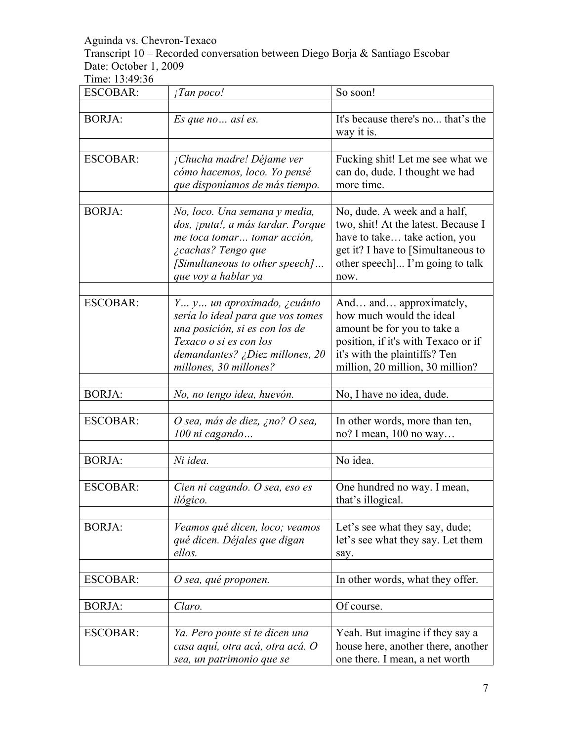Transcript 10 – Recorded conversation between Diego Borja & Santiago Escobar Date: October 1, 2009

| <b>ESCOBAR:</b> | <i>Tan poco!</i>                                                                                                                                                                         | So soon!                                                                                                                                                                                      |
|-----------------|------------------------------------------------------------------------------------------------------------------------------------------------------------------------------------------|-----------------------------------------------------------------------------------------------------------------------------------------------------------------------------------------------|
|                 |                                                                                                                                                                                          |                                                                                                                                                                                               |
| <b>BORJA:</b>   | Es que no así es.                                                                                                                                                                        | It's because there's no that's the<br>way it is.                                                                                                                                              |
|                 |                                                                                                                                                                                          |                                                                                                                                                                                               |
| <b>ESCOBAR:</b> | <sub>i</sub> Chucha madre! Déjame ver<br>cómo hacemos, loco. Yo pensé<br>que disponíamos de más tiempo.                                                                                  | Fucking shit! Let me see what we<br>can do, dude. I thought we had<br>more time.                                                                                                              |
| <b>BORJA:</b>   | No, loco. Una semana y media,<br>dos, ¡puta!, a más tardar. Porque<br>me toca tomar tomar acción,<br><i>i</i> cachas? Tengo que<br>[Simultaneous to other speech]<br>que voy a hablar ya | No, dude. A week and a half,<br>two, shit! At the latest. Because I<br>have to take take action, you<br>get it? I have to [Simultaneous to<br>other speech I'm going to talk<br>now.          |
| <b>ESCOBAR:</b> | Y y un aproximado, ¿cuánto<br>sería lo ideal para que vos tomes<br>una posición, si es con los de<br>Texaco o si es con los<br>demandantes? ¿Diez millones, 20<br>millones, 30 millones? | And and approximately,<br>how much would the ideal<br>amount be for you to take a<br>position, if it's with Texaco or if<br>it's with the plaintiffs? Ten<br>million, 20 million, 30 million? |
| <b>BORJA:</b>   | No, no tengo idea, huevón.                                                                                                                                                               | No, I have no idea, dude.                                                                                                                                                                     |
| <b>ESCOBAR:</b> | O sea, más de diez, ¿no? O sea,<br>100 ni cagando                                                                                                                                        | In other words, more than ten,<br>no? I mean, 100 no way                                                                                                                                      |
| <b>BORJA:</b>   | Ni idea.                                                                                                                                                                                 | No idea.                                                                                                                                                                                      |
| <b>ESCOBAR:</b> | Cien ni cagando. O sea, eso es<br>ilógico.                                                                                                                                               | One hundred no way. I mean,<br>that's illogical.                                                                                                                                              |
| <b>BORJA:</b>   | Veamos qué dicen, loco; veamos<br>qué dicen. Déjales que digan<br>ellos.                                                                                                                 | Let's see what they say, dude;<br>let's see what they say. Let them<br>say.                                                                                                                   |
| <b>ESCOBAR:</b> | O sea, qué proponen.                                                                                                                                                                     | In other words, what they offer.                                                                                                                                                              |
| <b>BORJA:</b>   | Claro.                                                                                                                                                                                   | Of course.                                                                                                                                                                                    |
| <b>ESCOBAR:</b> | Ya. Pero ponte si te dicen una<br>casa aquí, otra acá, otra acá. O<br>sea, un patrimonio que se                                                                                          | Yeah. But imagine if they say a<br>house here, another there, another<br>one there. I mean, a net worth                                                                                       |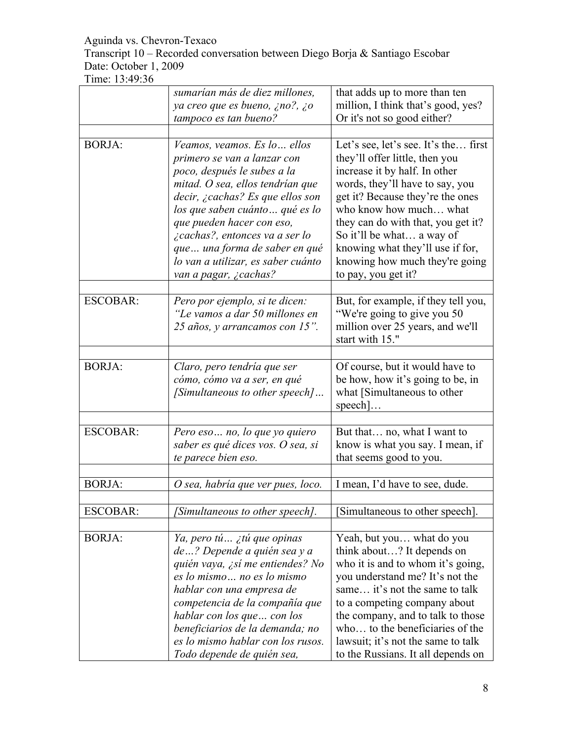Transcript 10 – Recorded conversation between Diego Borja & Santiago Escobar Date: October 1, 2009

|                 | sumarían más de diez millones,<br>ya creo que es bueno, ¿no?, ¿o<br>tampoco es tan bueno?                                                                                                                                                                                                                                                                           | that adds up to more than ten<br>million, I think that's good, yes?<br>Or it's not so good either?                                                                                                                                                                                                                                                                       |
|-----------------|---------------------------------------------------------------------------------------------------------------------------------------------------------------------------------------------------------------------------------------------------------------------------------------------------------------------------------------------------------------------|--------------------------------------------------------------------------------------------------------------------------------------------------------------------------------------------------------------------------------------------------------------------------------------------------------------------------------------------------------------------------|
| <b>BORJA:</b>   | Veamos, veamos. Es lo ellos<br>primero se van a lanzar con<br>poco, después le subes a la<br>mitad. O sea, ellos tendrían que<br>decir, ¿cachas? Es que ellos son<br>los que saben cuánto  qué es lo<br>que pueden hacer con eso,<br>¿cachas?, entonces va a ser lo<br>que una forma de saber en qué<br>lo van a utilizar, es saber cuánto<br>van a pagar, ¿cachas? | Let's see, let's see. It's the first<br>they'll offer little, then you<br>increase it by half. In other<br>words, they'll have to say, you<br>get it? Because they're the ones<br>who know how much what<br>they can do with that, you get it?<br>So it'll be what a way of<br>knowing what they'll use if for,<br>knowing how much they're going<br>to pay, you get it? |
| <b>ESCOBAR:</b> | Pero por ejemplo, si te dicen:<br>"Le vamos a dar 50 millones en<br>25 años, y arrancamos con 15".                                                                                                                                                                                                                                                                  | But, for example, if they tell you,<br>"We're going to give you 50<br>million over 25 years, and we'll<br>start with 15."                                                                                                                                                                                                                                                |
| <b>BORJA:</b>   | Claro, pero tendría que ser<br>cómo, cómo va a ser, en qué<br>[Simultaneous to other speech]                                                                                                                                                                                                                                                                        | Of course, but it would have to<br>be how, how it's going to be, in<br>what [Simultaneous to other<br>$\text{speedl}$ .                                                                                                                                                                                                                                                  |
| <b>ESCOBAR:</b> | Pero eso no, lo que yo quiero<br>saber es qué dices vos. O sea, si<br>te parece bien eso.                                                                                                                                                                                                                                                                           | But that no, what I want to<br>know is what you say. I mean, if<br>that seems good to you.                                                                                                                                                                                                                                                                               |
| <b>BORJA:</b>   | O sea, habría que ver pues, loco.                                                                                                                                                                                                                                                                                                                                   | I mean, I'd have to see, dude.                                                                                                                                                                                                                                                                                                                                           |
| <b>ESCOBAR:</b> | Simultaneous to other speech].                                                                                                                                                                                                                                                                                                                                      | Simultaneous to other speech.                                                                                                                                                                                                                                                                                                                                            |
| <b>BORJA:</b>   | Ya, pero tú  ¿tú que opinas<br>de? Depende a quién sea y a<br>quién vaya, ¿sí me entiendes? No<br>es lo mismo no es lo mismo<br>hablar con una empresa de<br>competencia de la compañía que<br>hablar con los que  con los<br>beneficiarios de la demanda; no<br>es lo mismo hablar con los rusos.<br>Todo depende de quién sea,                                    | Yeah, but you what do you<br>think about? It depends on<br>who it is and to whom it's going,<br>you understand me? It's not the<br>same it's not the same to talk<br>to a competing company about<br>the company, and to talk to those<br>who to the beneficiaries of the<br>lawsuit; it's not the same to talk<br>to the Russians. It all depends on                    |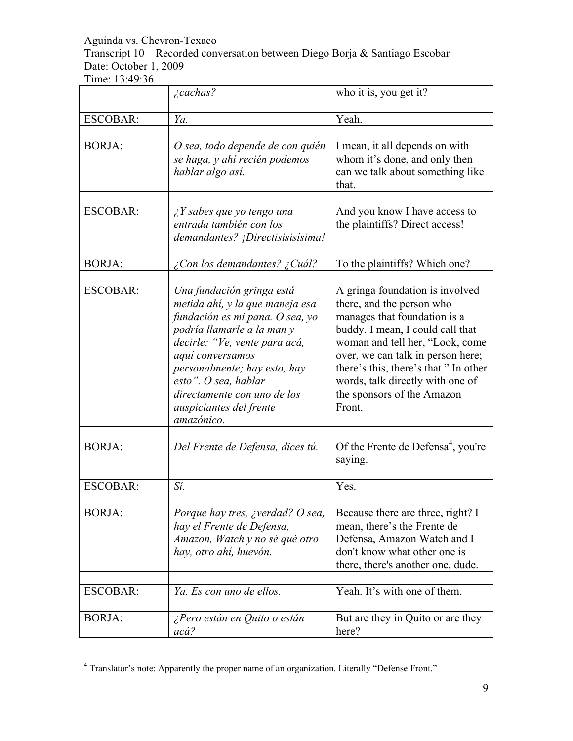Transcript 10 – Recorded conversation between Diego Borja & Santiago Escobar Date: October 1, 2009

|                 | $\zeta$ cachas?                                                                                                                                                                                                                                                                                                    | who it is, you get it?                                                                                                                                                                                                                                                                                                        |
|-----------------|--------------------------------------------------------------------------------------------------------------------------------------------------------------------------------------------------------------------------------------------------------------------------------------------------------------------|-------------------------------------------------------------------------------------------------------------------------------------------------------------------------------------------------------------------------------------------------------------------------------------------------------------------------------|
|                 |                                                                                                                                                                                                                                                                                                                    |                                                                                                                                                                                                                                                                                                                               |
| <b>ESCOBAR:</b> | Ya.                                                                                                                                                                                                                                                                                                                | Yeah.                                                                                                                                                                                                                                                                                                                         |
| <b>BORJA:</b>   | O sea, todo depende de con quién<br>se haga, y ahí recién podemos<br>hablar algo así.                                                                                                                                                                                                                              | I mean, it all depends on with<br>whom it's done, and only then<br>can we talk about something like<br>that.                                                                                                                                                                                                                  |
| <b>ESCOBAR:</b> | $\lambda$ Y sabes que yo tengo una<br>entrada también con los<br>demandantes? ¡Directisisisisima!                                                                                                                                                                                                                  | And you know I have access to<br>the plaintiffs? Direct access!                                                                                                                                                                                                                                                               |
| <b>BORJA:</b>   | ¿Con los demandantes? ¿Cuál?                                                                                                                                                                                                                                                                                       | To the plaintiffs? Which one?                                                                                                                                                                                                                                                                                                 |
| <b>ESCOBAR:</b> | Una fundación gringa está<br>metida ahí, y la que maneja esa<br>fundación es mi pana. O sea, yo<br>podría llamarle a la man y<br>decirle: "Ve, vente para acá,<br>aquí conversamos<br>personalmente; hay esto, hay<br>esto". O sea, hablar<br>directamente con uno de los<br>auspiciantes del frente<br>amazónico. | A gringa foundation is involved<br>there, and the person who<br>manages that foundation is a<br>buddy. I mean, I could call that<br>woman and tell her, "Look, come<br>over, we can talk in person here;<br>there's this, there's that." In other<br>words, talk directly with one of<br>the sponsors of the Amazon<br>Front. |
| <b>BORJA:</b>   | Del Frente de Defensa, dices tú.                                                                                                                                                                                                                                                                                   | Of the Frente de Defensa <sup>4</sup> , you're<br>saying.                                                                                                                                                                                                                                                                     |
|                 |                                                                                                                                                                                                                                                                                                                    |                                                                                                                                                                                                                                                                                                                               |
| <b>ESCOBAR:</b> | Sí.                                                                                                                                                                                                                                                                                                                | Yes.                                                                                                                                                                                                                                                                                                                          |
| <b>BORJA:</b>   | Porque hay tres, <i>i</i> verdad? O sea,<br>hay el Frente de Defensa,<br>Amazon, Watch y no sé qué otro<br>hay, otro ahí, huevón.                                                                                                                                                                                  | Because there are three, right? I<br>mean, there's the Frente de<br>Defensa, Amazon Watch and I<br>don't know what other one is<br>there, there's another one, dude.                                                                                                                                                          |
| <b>ESCOBAR:</b> | Ya. Es con uno de ellos.                                                                                                                                                                                                                                                                                           | Yeah. It's with one of them.                                                                                                                                                                                                                                                                                                  |
| <b>BORJA:</b>   | ¿Pero están en Quito o están<br>acá?                                                                                                                                                                                                                                                                               | But are they in Quito or are they<br>here?                                                                                                                                                                                                                                                                                    |

 $\frac{1}{4}$ Translator's note: Apparently the proper name of an organization. Literally "Defense Front."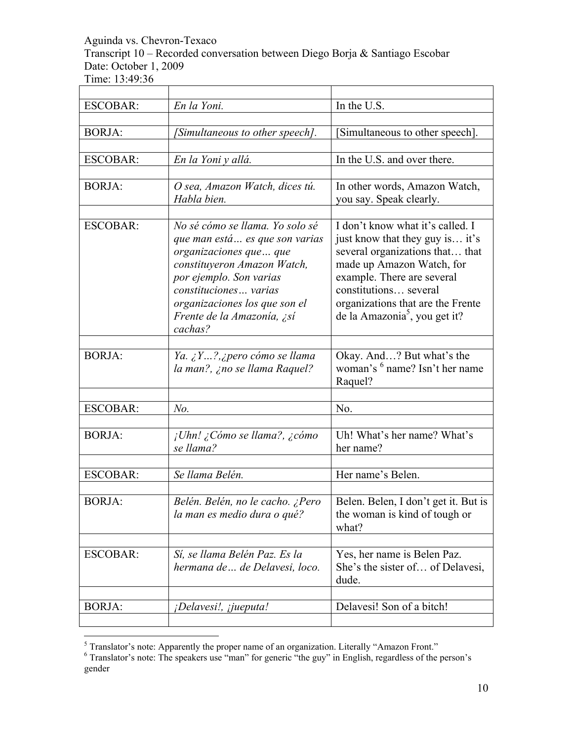Transcript 10 – Recorded conversation between Diego Borja & Santiago Escobar Date: October 1, 2009

| <b>ESCOBAR:</b> | En la Yoni.                                                                                                                                                                                                                                               | In the U.S.                                                                                                                                                                                                                                                                  |
|-----------------|-----------------------------------------------------------------------------------------------------------------------------------------------------------------------------------------------------------------------------------------------------------|------------------------------------------------------------------------------------------------------------------------------------------------------------------------------------------------------------------------------------------------------------------------------|
|                 |                                                                                                                                                                                                                                                           |                                                                                                                                                                                                                                                                              |
| <b>BORJA:</b>   | [Simultaneous to other speech].                                                                                                                                                                                                                           | Simultaneous to other speech.                                                                                                                                                                                                                                                |
|                 |                                                                                                                                                                                                                                                           |                                                                                                                                                                                                                                                                              |
| <b>ESCOBAR:</b> | En la Yoni y allá.                                                                                                                                                                                                                                        | In the U.S. and over there.                                                                                                                                                                                                                                                  |
| <b>BORJA:</b>   | O sea, Amazon Watch, dices tú.<br>Habla bien.                                                                                                                                                                                                             | In other words, Amazon Watch,<br>you say. Speak clearly.                                                                                                                                                                                                                     |
| <b>ESCOBAR:</b> | No sé cómo se llama. Yo solo sé<br>que man está es que son varias<br>organizaciones que  que<br>constituyeron Amazon Watch,<br>por ejemplo. Son varias<br>constituciones varias<br>organizaciones los que son el<br>Frente de la Amazonía, ¿sí<br>cachas? | I don't know what it's called. I<br>just know that they guy is it's<br>several organizations that that<br>made up Amazon Watch, for<br>example. There are several<br>constitutions several<br>organizations that are the Frente<br>de la Amazonia <sup>5</sup> , you get it? |
| <b>BORJA:</b>   | Ya. $\zeta Y?$ , ¿pero cómo se llama<br>la man?, ¿no se llama Raquel?                                                                                                                                                                                     | Okay. And? But what's the<br>woman's <sup>6</sup> name? Isn't her name<br>Raquel?                                                                                                                                                                                            |
| <b>ESCOBAR:</b> | $No$ .                                                                                                                                                                                                                                                    | No.                                                                                                                                                                                                                                                                          |
|                 |                                                                                                                                                                                                                                                           |                                                                                                                                                                                                                                                                              |
| <b>BORJA:</b>   | ¡Uhn! ¿Cómo se llama?, ¿cómo<br>se llama?                                                                                                                                                                                                                 | Uh! What's her name? What's<br>her name?                                                                                                                                                                                                                                     |
| <b>ESCOBAR:</b> | Se llama Belén.                                                                                                                                                                                                                                           | Her name's Belen.                                                                                                                                                                                                                                                            |
|                 |                                                                                                                                                                                                                                                           |                                                                                                                                                                                                                                                                              |
| <b>BORJA:</b>   | Belén. Belén, no le cacho. ¿Pero<br>la man es medio dura o qué?                                                                                                                                                                                           | Belen. Belen, I don't get it. But is<br>the woman is kind of tough or<br>what?                                                                                                                                                                                               |
|                 |                                                                                                                                                                                                                                                           |                                                                                                                                                                                                                                                                              |
| <b>ESCOBAR:</b> | Sí, se llama Belén Paz. Es la<br>hermana de  de Delavesi, loco.                                                                                                                                                                                           | Yes, her name is Belen Paz.<br>She's the sister of of Delavesi,<br>dude.                                                                                                                                                                                                     |
|                 |                                                                                                                                                                                                                                                           |                                                                                                                                                                                                                                                                              |
| <b>BORJA:</b>   | ¡Delavesi!, ¡jueputa!                                                                                                                                                                                                                                     | Delavesi! Son of a bitch!                                                                                                                                                                                                                                                    |

 $\frac{1}{5}$ 

<sup>&</sup>lt;sup>5</sup> Translator's note: Apparently the proper name of an organization. Literally "Amazon Front."<br><sup>6</sup> Translator's note: The speakers use "man" for generic "the guy" in English, regardless of the person's gender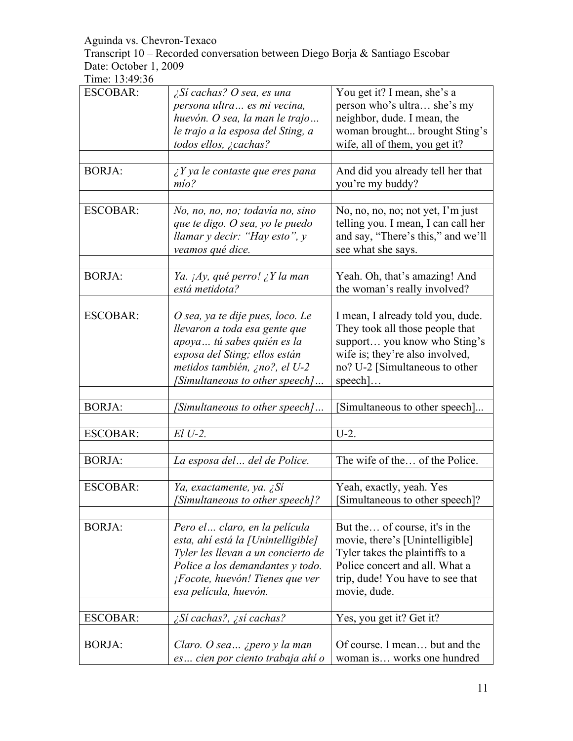Transcript 10 – Recorded conversation between Diego Borja & Santiago Escobar Date: October 1, 2009

| <b>ESCOBAR:</b> | ¿Sí cachas? O sea, es una<br>persona ultra  es mi vecina,                                                                                                                                                         | You get it? I mean, she's a<br>person who's ultra she's my                                                                                                                                  |
|-----------------|-------------------------------------------------------------------------------------------------------------------------------------------------------------------------------------------------------------------|---------------------------------------------------------------------------------------------------------------------------------------------------------------------------------------------|
|                 | huevón. O sea, la man le trajo<br>le trajo a la esposa del Sting, a<br>todos ellos, ¿cachas?                                                                                                                      | neighbor, dude. I mean, the<br>woman brought brought Sting's<br>wife, all of them, you get it?                                                                                              |
|                 |                                                                                                                                                                                                                   |                                                                                                                                                                                             |
| <b>BORJA:</b>   | $\angle Y$ ya le contaste que eres pana<br>mío?                                                                                                                                                                   | And did you already tell her that<br>you're my buddy?                                                                                                                                       |
| <b>ESCOBAR:</b> | No, no, no, no; todavía no, sino<br>que te digo. O sea, yo le puedo<br>llamar y decir: "Hay esto", y<br>veamos qué dice.                                                                                          | No, no, no, no; not yet, I'm just<br>telling you. I mean, I can call her<br>and say, "There's this," and we'll<br>see what she says.                                                        |
| <b>BORJA:</b>   | Ya. ¡Ay, qué perro! ¿Y la man<br>está metidota?                                                                                                                                                                   | Yeah. Oh, that's amazing! And<br>the woman's really involved?                                                                                                                               |
| <b>ESCOBAR:</b> | O sea, ya te dije pues, loco. Le<br>llevaron a toda esa gente que<br>apoya  tú sabes quién es la<br>esposa del Sting; ellos están<br>metidos también, ¿no?, el U-2<br>[Simultaneous to other speech]              | I mean, I already told you, dude.<br>They took all those people that<br>support you know who Sting's<br>wife is; they're also involved,<br>no? U-2 [Simultaneous to other<br>$\text{speed}$ |
|                 |                                                                                                                                                                                                                   |                                                                                                                                                                                             |
| <b>BORJA:</b>   | [Simultaneous to other speech]                                                                                                                                                                                    | [Simultaneous to other speech]                                                                                                                                                              |
| <b>ESCOBAR:</b> | $El U-2.$                                                                                                                                                                                                         | $U-2$ .                                                                                                                                                                                     |
| <b>BORJA:</b>   | La esposa del  del de Police.                                                                                                                                                                                     | The wife of the of the Police.                                                                                                                                                              |
| <b>ESCOBAR:</b> | Ya, exactamente, ya. ¿Sí<br>[Simultaneous to other speech]?                                                                                                                                                       | Yeah, exactly, yeah. Yes<br>[Simultaneous to other speech]?                                                                                                                                 |
| <b>BORJA:</b>   | Pero el  claro, en la película<br>esta, ahí está la [Unintelligible]<br>Tyler les llevan a un concierto de<br>Police a los demandantes y todo.<br><i>¡Focote, huevón! Tienes que ver</i><br>esa película, huevón. | But the of course, it's in the<br>movie, there's [Unintelligible]<br>Tyler takes the plaintiffs to a<br>Police concert and all. What a<br>trip, dude! You have to see that<br>movie, dude.  |
| <b>ESCOBAR:</b> | ¿Sí cachas?, ¿sí cachas?                                                                                                                                                                                          | Yes, you get it? Get it?                                                                                                                                                                    |
|                 |                                                                                                                                                                                                                   |                                                                                                                                                                                             |
| <b>BORJA:</b>   | Claro. O sea $\ldots$ <i>i</i> pero y la man<br>es cien por ciento trabaja ahí o                                                                                                                                  | Of course. I mean but and the<br>woman is works one hundred                                                                                                                                 |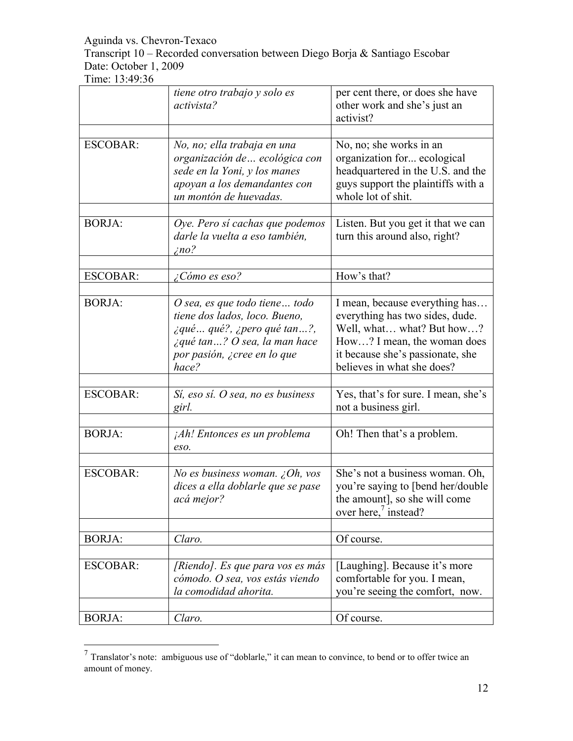Transcript 10 – Recorded conversation between Diego Borja & Santiago Escobar Date: October 1, 2009

| <b>ESCOBAR:</b><br>No, no; she works in an<br>No, no; ella trabaja en una<br>organización de  ecológica con<br>organization for ecological<br>headquartered in the U.S. and the<br>sede en la Yoni, y los manes<br>guys support the plaintiffs with a<br>apoyan a los demandantes con<br>whole lot of shit.<br>un montón de huevadas.<br><b>BORJA:</b><br>Oye. Pero sí cachas que podemos<br>Listen. But you get it that we can<br>darle la vuelta a eso también,<br>turn this around also, right?<br>$\zeta$ no?<br>How's that?<br><b>ESCOBAR:</b><br>¿Cómo es eso?<br><b>BORJA:</b><br>$O$ sea, es que todo tiene todo<br>I mean, because everything has<br>everything has two sides, dude.<br>tiene dos lados, loco. Bueno,<br>Well, what what? But how?<br>$\zeta$ qué qué?, $\zeta$ pero qué tan?,<br>$\lambda$ qué tan? O sea, la man hace<br>How? I mean, the woman does<br>it because she's passionate, she<br>por pasión, ¿cree en lo que<br>believes in what she does?<br>hace?<br><b>ESCOBAR:</b><br>Yes, that's for sure. I mean, she's<br>Sí, eso sí. O sea, no es business<br>not a business girl.<br>girl.<br><b>BORJA:</b><br>Oh! Then that's a problem.<br><i>Ah! Entonces es un problema</i><br>eso.<br><b>ESCOBAR:</b><br>No es business woman. ¿Oh, vos<br>She's not a business woman. Oh,<br>you're saying to [bend her/double<br>dices a ella doblarle que se pase<br>the amount], so she will come<br>acá mejor?<br>over here, $\frac{7}{1}$ instead?<br><b>BORJA:</b><br>Of course.<br>Claro.<br><b>ESCOBAR:</b><br>[Laughing]. Because it's more<br>[Riendo]. Es que para vos es más<br>cómodo. O sea, vos estás viendo<br>comfortable for you. I mean,<br>you're seeing the comfort, now.<br>la comodidad ahorita. |               | tiene otro trabajo y solo es<br>activista? | per cent there, or does she have<br>other work and she's just an<br>activist? |
|----------------------------------------------------------------------------------------------------------------------------------------------------------------------------------------------------------------------------------------------------------------------------------------------------------------------------------------------------------------------------------------------------------------------------------------------------------------------------------------------------------------------------------------------------------------------------------------------------------------------------------------------------------------------------------------------------------------------------------------------------------------------------------------------------------------------------------------------------------------------------------------------------------------------------------------------------------------------------------------------------------------------------------------------------------------------------------------------------------------------------------------------------------------------------------------------------------------------------------------------------------------------------------------------------------------------------------------------------------------------------------------------------------------------------------------------------------------------------------------------------------------------------------------------------------------------------------------------------------------------------------------------------------------------------------------------------------------------------------------------|---------------|--------------------------------------------|-------------------------------------------------------------------------------|
|                                                                                                                                                                                                                                                                                                                                                                                                                                                                                                                                                                                                                                                                                                                                                                                                                                                                                                                                                                                                                                                                                                                                                                                                                                                                                                                                                                                                                                                                                                                                                                                                                                                                                                                                              |               |                                            |                                                                               |
|                                                                                                                                                                                                                                                                                                                                                                                                                                                                                                                                                                                                                                                                                                                                                                                                                                                                                                                                                                                                                                                                                                                                                                                                                                                                                                                                                                                                                                                                                                                                                                                                                                                                                                                                              |               |                                            |                                                                               |
|                                                                                                                                                                                                                                                                                                                                                                                                                                                                                                                                                                                                                                                                                                                                                                                                                                                                                                                                                                                                                                                                                                                                                                                                                                                                                                                                                                                                                                                                                                                                                                                                                                                                                                                                              |               |                                            |                                                                               |
|                                                                                                                                                                                                                                                                                                                                                                                                                                                                                                                                                                                                                                                                                                                                                                                                                                                                                                                                                                                                                                                                                                                                                                                                                                                                                                                                                                                                                                                                                                                                                                                                                                                                                                                                              |               |                                            |                                                                               |
|                                                                                                                                                                                                                                                                                                                                                                                                                                                                                                                                                                                                                                                                                                                                                                                                                                                                                                                                                                                                                                                                                                                                                                                                                                                                                                                                                                                                                                                                                                                                                                                                                                                                                                                                              |               |                                            |                                                                               |
|                                                                                                                                                                                                                                                                                                                                                                                                                                                                                                                                                                                                                                                                                                                                                                                                                                                                                                                                                                                                                                                                                                                                                                                                                                                                                                                                                                                                                                                                                                                                                                                                                                                                                                                                              |               |                                            |                                                                               |
|                                                                                                                                                                                                                                                                                                                                                                                                                                                                                                                                                                                                                                                                                                                                                                                                                                                                                                                                                                                                                                                                                                                                                                                                                                                                                                                                                                                                                                                                                                                                                                                                                                                                                                                                              |               |                                            |                                                                               |
|                                                                                                                                                                                                                                                                                                                                                                                                                                                                                                                                                                                                                                                                                                                                                                                                                                                                                                                                                                                                                                                                                                                                                                                                                                                                                                                                                                                                                                                                                                                                                                                                                                                                                                                                              |               |                                            |                                                                               |
|                                                                                                                                                                                                                                                                                                                                                                                                                                                                                                                                                                                                                                                                                                                                                                                                                                                                                                                                                                                                                                                                                                                                                                                                                                                                                                                                                                                                                                                                                                                                                                                                                                                                                                                                              |               |                                            |                                                                               |
|                                                                                                                                                                                                                                                                                                                                                                                                                                                                                                                                                                                                                                                                                                                                                                                                                                                                                                                                                                                                                                                                                                                                                                                                                                                                                                                                                                                                                                                                                                                                                                                                                                                                                                                                              |               |                                            |                                                                               |
|                                                                                                                                                                                                                                                                                                                                                                                                                                                                                                                                                                                                                                                                                                                                                                                                                                                                                                                                                                                                                                                                                                                                                                                                                                                                                                                                                                                                                                                                                                                                                                                                                                                                                                                                              |               |                                            |                                                                               |
|                                                                                                                                                                                                                                                                                                                                                                                                                                                                                                                                                                                                                                                                                                                                                                                                                                                                                                                                                                                                                                                                                                                                                                                                                                                                                                                                                                                                                                                                                                                                                                                                                                                                                                                                              | <b>BORJA:</b> | Claro.                                     | Of course.                                                                    |

 <sup>7</sup> Translator's note: ambiguous use of "doblarle," it can mean to convince, to bend or to offer twice an amount of money.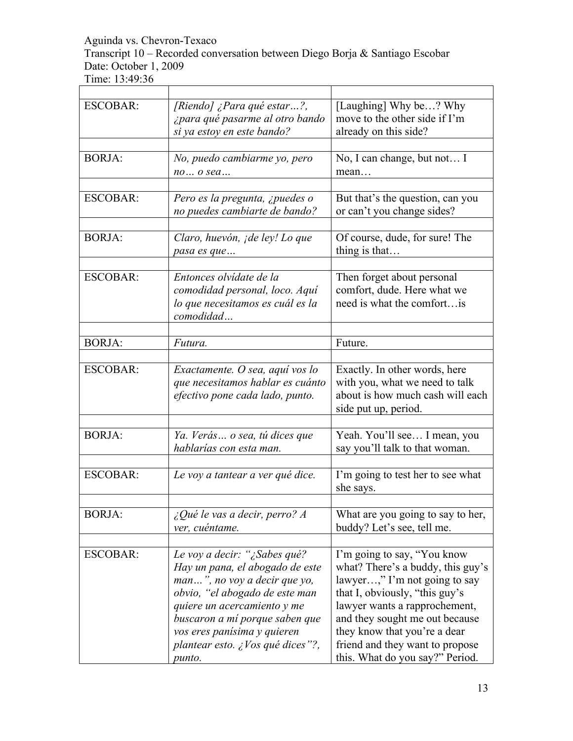Transcript 10 – Recorded conversation between Diego Borja & Santiago Escobar Date: October 1, 2009

| <b>ESCOBAR:</b> | [Riendo] ¿Para qué estar?,             | [Laughing] Why be? Why            |
|-----------------|----------------------------------------|-----------------------------------|
|                 | ¿para qué pasarme al otro bando        | move to the other side if I'm     |
|                 | si ya estoy en este bando?             | already on this side?             |
|                 |                                        |                                   |
| <b>BORJA:</b>   | No, puedo cambiarme yo, pero           | No, I can change, but not I       |
|                 | no o sea                               | mean                              |
|                 |                                        |                                   |
| <b>ESCOBAR:</b> | Pero es la pregunta, ¿puedes o         | But that's the question, can you  |
|                 | no puedes cambiarte de bando?          | or can't you change sides?        |
|                 |                                        |                                   |
| <b>BORJA:</b>   | Claro, huevón, <i>i de ley! Lo que</i> | Of course, dude, for sure! The    |
|                 | pasa es que                            | thing is that                     |
|                 |                                        |                                   |
| <b>ESCOBAR:</b> | Entonces olvídate de la                | Then forget about personal        |
|                 | comodidad personal, loco. Aquí         | comfort, dude. Here what we       |
|                 | lo que necesitamos es cuál es la       | need is what the comfort is       |
|                 | comodidad                              |                                   |
|                 |                                        |                                   |
| <b>BORJA:</b>   | Futura.                                | Future.                           |
|                 |                                        |                                   |
| <b>ESCOBAR:</b> | Exactamente. O sea, aquí vos lo        | Exactly. In other words, here     |
|                 | que necesitamos hablar es cuánto       | with you, what we need to talk    |
|                 | efectivo pone cada lado, punto.        | about is how much cash will each  |
|                 |                                        | side put up, period.              |
|                 |                                        |                                   |
| <b>BORJA:</b>   | Ya. Verás o sea, tú dices que          | Yeah. You'll see I mean, you      |
|                 | hablarías con esta man.                | say you'll talk to that woman.    |
|                 |                                        |                                   |
| <b>ESCOBAR:</b> | Le voy a tantear a ver qué dice.       | I'm going to test her to see what |
|                 |                                        | she says.                         |
|                 |                                        |                                   |
| <b>BORJA:</b>   | $\angle$ Qué le vas a decir, perro? A  | What are you going to say to her, |
|                 | ver, cuéntame.                         | buddy? Let's see, tell me.        |
|                 |                                        |                                   |
| <b>ESCOBAR:</b> | Le voy a decir: "¿Sabes qué?           | I'm going to say, "You know       |
|                 | Hay un pana, el abogado de este        | what? There's a buddy, this guy's |
|                 | man", no voy a decir que yo,           | lawyer," I'm not going to say     |
|                 | obvio, "el abogado de este man         | that I, obviously, "this guy's    |
|                 | quiere un acercamiento y me            | lawyer wants a rapprochement,     |
|                 | buscaron a mí porque saben que         | and they sought me out because    |
|                 | vos eres panísima y quieren            | they know that you're a dear      |
|                 | plantear esto. ¿Vos qué dices"?,       | friend and they want to propose   |
|                 | punto.                                 | this. What do you say?" Period.   |
|                 |                                        |                                   |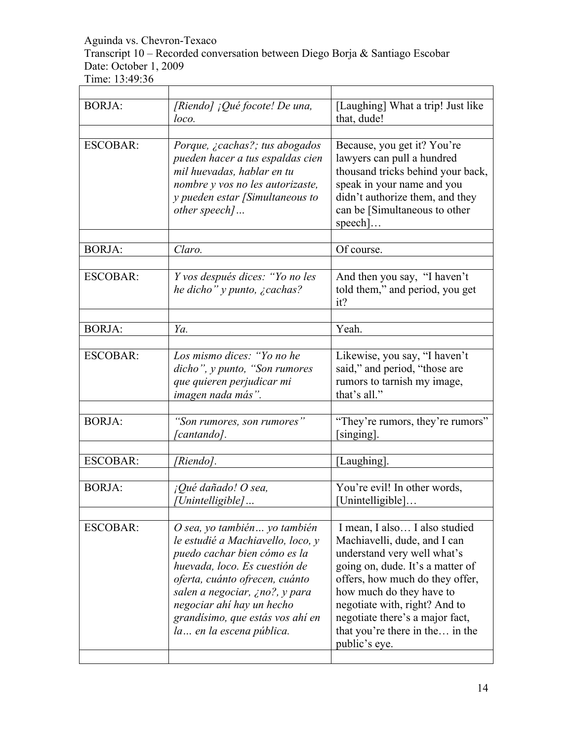Transcript 10 – Recorded conversation between Diego Borja & Santiago Escobar Date: October 1, 2009

| <b>BORJA:</b>   | [Riendo] ¡Qué focote! De una,<br>loco.                                                                                                                                                                                                                                                               | [Laughing] What a trip! Just like<br>that, dude!                                                                                                                                                                                                                                                                        |
|-----------------|------------------------------------------------------------------------------------------------------------------------------------------------------------------------------------------------------------------------------------------------------------------------------------------------------|-------------------------------------------------------------------------------------------------------------------------------------------------------------------------------------------------------------------------------------------------------------------------------------------------------------------------|
| <b>ESCOBAR:</b> |                                                                                                                                                                                                                                                                                                      |                                                                                                                                                                                                                                                                                                                         |
|                 | Porque, ¿cachas?; tus abogados<br>pueden hacer a tus espaldas cien<br>mil huevadas, hablar en tu<br>nombre y vos no les autorizaste,<br>y pueden estar [Simultaneous to<br>other speech]                                                                                                             | Because, you get it? You're<br>lawyers can pull a hundred<br>thousand tricks behind your back,<br>speak in your name and you<br>didn't authorize them, and they<br>can be [Simultaneous to other<br>$\text{speed}$                                                                                                      |
| <b>BORJA:</b>   | Claro.                                                                                                                                                                                                                                                                                               | Of course.                                                                                                                                                                                                                                                                                                              |
| <b>ESCOBAR:</b> | Y vos después dices: "Yo no les                                                                                                                                                                                                                                                                      | And then you say, "I haven't                                                                                                                                                                                                                                                                                            |
|                 | he dicho" y punto, ¿cachas?                                                                                                                                                                                                                                                                          | told them," and period, you get<br>it?                                                                                                                                                                                                                                                                                  |
|                 |                                                                                                                                                                                                                                                                                                      |                                                                                                                                                                                                                                                                                                                         |
| <b>BORJA:</b>   | Ya.                                                                                                                                                                                                                                                                                                  | Yeah.                                                                                                                                                                                                                                                                                                                   |
| <b>ESCOBAR:</b> | Los mismo dices: "Yo no he<br>dicho", y punto, "Son rumores<br>que quieren perjudicar mi<br>imagen nada más".                                                                                                                                                                                        | Likewise, you say, "I haven't<br>said," and period, "those are<br>rumors to tarnish my image,<br>that's all."                                                                                                                                                                                                           |
|                 |                                                                                                                                                                                                                                                                                                      |                                                                                                                                                                                                                                                                                                                         |
| <b>BORJA:</b>   | "Son rumores, son rumores"<br>[cantando].                                                                                                                                                                                                                                                            | "They're rumors, they're rumors"<br>[singing].                                                                                                                                                                                                                                                                          |
| <b>ESCOBAR:</b> | [Riendo].                                                                                                                                                                                                                                                                                            | [Laughing].                                                                                                                                                                                                                                                                                                             |
|                 |                                                                                                                                                                                                                                                                                                      |                                                                                                                                                                                                                                                                                                                         |
| <b>BORJA:</b>   | ¡Qué dañado! O sea,<br>[Unintelligible]                                                                                                                                                                                                                                                              | You're evil! In other words,<br>[Unintelligible]                                                                                                                                                                                                                                                                        |
| <b>ESCOBAR:</b> | O sea, yo también yo también<br>le estudié a Machiavello, loco, y<br>puedo cachar bien cómo es la<br>huevada, loco. Es cuestión de<br>oferta, cuánto ofrecen, cuánto<br>salen a negociar, ¿no?, y para<br>negociar ahí hay un hecho<br>grandísimo, que estás vos ahí en<br>la  en la escena pública. | I mean, I also I also studied<br>Machiavelli, dude, and I can<br>understand very well what's<br>going on, dude. It's a matter of<br>offers, how much do they offer,<br>how much do they have to<br>negotiate with, right? And to<br>negotiate there's a major fact,<br>that you're there in the in the<br>public's eye. |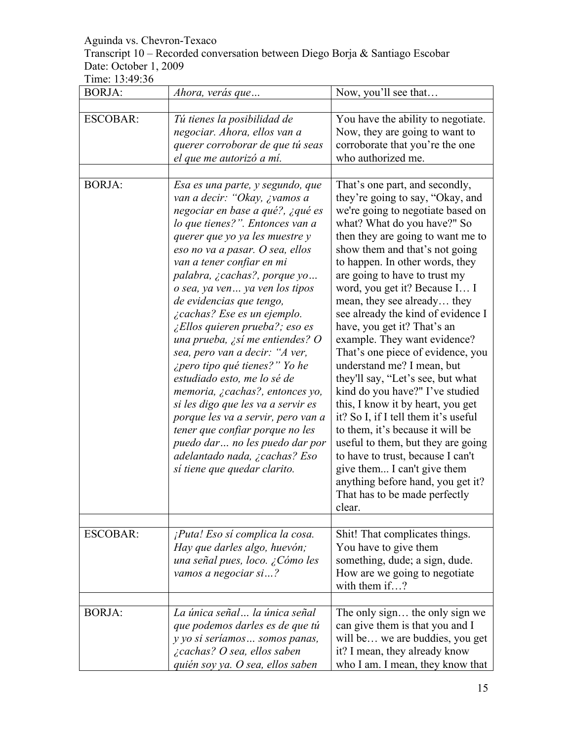#### Transcript 10 – Recorded conversation between Diego Borja & Santiago Escobar Date: October 1, 2009

| <b>BORJA:</b>   | Ahora, verás que                                                                                                                                                                                                                                                                                                                                                                                                                                                                                                                                                                                                                                                                                                                                                                                                   | Now, you'll see that                                                                                                                                                                                                                                                                                                                                                                                                                                                                                                                                                                                                                                                                                                                                                                                                                                                                                         |
|-----------------|--------------------------------------------------------------------------------------------------------------------------------------------------------------------------------------------------------------------------------------------------------------------------------------------------------------------------------------------------------------------------------------------------------------------------------------------------------------------------------------------------------------------------------------------------------------------------------------------------------------------------------------------------------------------------------------------------------------------------------------------------------------------------------------------------------------------|--------------------------------------------------------------------------------------------------------------------------------------------------------------------------------------------------------------------------------------------------------------------------------------------------------------------------------------------------------------------------------------------------------------------------------------------------------------------------------------------------------------------------------------------------------------------------------------------------------------------------------------------------------------------------------------------------------------------------------------------------------------------------------------------------------------------------------------------------------------------------------------------------------------|
| <b>ESCOBAR:</b> | Tú tienes la posibilidad de<br>negociar. Ahora, ellos van a<br>querer corroborar de que tú seas<br>el que me autorizó a mí.                                                                                                                                                                                                                                                                                                                                                                                                                                                                                                                                                                                                                                                                                        | You have the ability to negotiate.<br>Now, they are going to want to<br>corroborate that you're the one<br>who authorized me.                                                                                                                                                                                                                                                                                                                                                                                                                                                                                                                                                                                                                                                                                                                                                                                |
| <b>BORJA:</b>   | Esa es una parte, y segundo, que<br>van a decir: "Okay, ¿vamos a<br>negociar en base a qué?, ¿qué es<br>lo que tienes?". Entonces van a<br>querer que yo ya les muestre y<br>eso no va a pasar. O sea, ellos<br>van a tener confiar en mi<br>palabra, ¿cachas?, porque yo<br>o sea, ya ven ya ven los tipos<br>de evidencias que tengo,<br><i>i</i> cachas? Ese es un ejemplo.<br>¿Ellos quieren prueba?; eso es<br>una prueba, ¿sí me entiendes? O<br>sea, pero van a decir: "A ver,<br><i>i</i> pero tipo qué tienes?" Yo he<br>estudiado esto, me lo sé de<br>memoria, ¿cachas?, entonces yo,<br>si les digo que les va a servir es<br>porque les va a servir, pero van a<br>tener que confiar porque no les<br>puedo dar no les puedo dar por<br>adelantado nada, ¿cachas? Eso<br>sí tiene que quedar clarito. | That's one part, and secondly,<br>they're going to say, "Okay, and<br>we're going to negotiate based on<br>what? What do you have?" So<br>then they are going to want me to<br>show them and that's not going<br>to happen. In other words, they<br>are going to have to trust my<br>word, you get it? Because I I<br>mean, they see already they<br>see already the kind of evidence I<br>have, you get it? That's an<br>example. They want evidence?<br>That's one piece of evidence, you<br>understand me? I mean, but<br>they'll say, "Let's see, but what<br>kind do you have?" I've studied<br>this, I know it by heart, you get<br>it? So I, if I tell them it's useful<br>to them, it's because it will be<br>useful to them, but they are going<br>to have to trust, because I can't<br>give them I can't give them<br>anything before hand, you get it?<br>That has to be made perfectly<br>clear. |
| <b>ESCOBAR:</b> | ¡Puta! Eso sí complica la cosa.<br>Hay que darles algo, huevón;<br>una señal pues, loco. ¿Cómo les<br>vamos a negociar si?                                                                                                                                                                                                                                                                                                                                                                                                                                                                                                                                                                                                                                                                                         | Shit! That complicates things.<br>You have to give them<br>something, dude; a sign, dude.<br>How are we going to negotiate<br>with them if?                                                                                                                                                                                                                                                                                                                                                                                                                                                                                                                                                                                                                                                                                                                                                                  |
| <b>BORJA:</b>   | La única señal la única señal<br>que podemos darles es de que tú<br>y yo si seríamos  somos panas,<br>¿cachas? O sea, ellos saben<br>quién soy ya. O sea, ellos saben                                                                                                                                                                                                                                                                                                                                                                                                                                                                                                                                                                                                                                              | The only sign the only sign we<br>can give them is that you and I<br>will be we are buddies, you get<br>it? I mean, they already know<br>who I am. I mean, they know that                                                                                                                                                                                                                                                                                                                                                                                                                                                                                                                                                                                                                                                                                                                                    |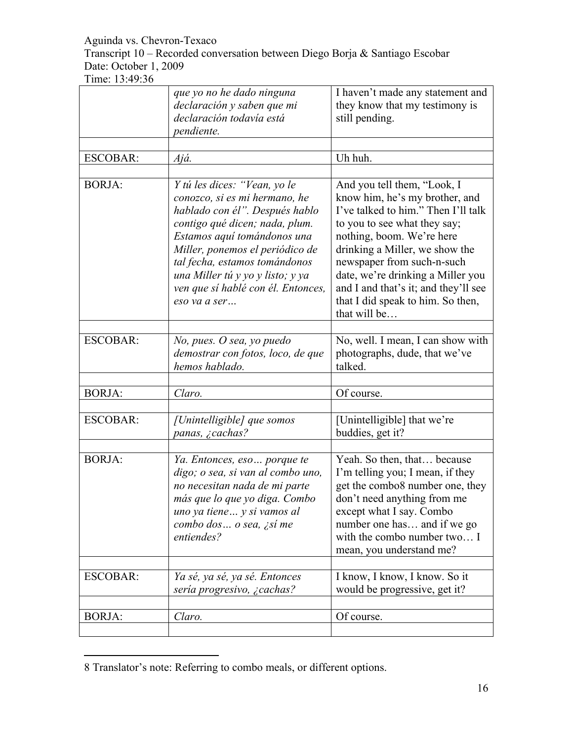Transcript 10 – Recorded conversation between Diego Borja & Santiago Escobar Date: October 1, 2009

Time: 13:49:36

 $\overline{a}$ 

|                 | que yo no he dado ninguna<br>declaración y saben que mi<br>declaración todavía está<br>pendiente.                                                                                                                                                                                                                              | I haven't made any statement and<br>they know that my testimony is<br>still pending.                                                                                                                                                                                                                                                                                |
|-----------------|--------------------------------------------------------------------------------------------------------------------------------------------------------------------------------------------------------------------------------------------------------------------------------------------------------------------------------|---------------------------------------------------------------------------------------------------------------------------------------------------------------------------------------------------------------------------------------------------------------------------------------------------------------------------------------------------------------------|
| <b>ESCOBAR:</b> | Ajá.                                                                                                                                                                                                                                                                                                                           | Uh huh.                                                                                                                                                                                                                                                                                                                                                             |
| <b>BORJA:</b>   | Y tú les dices: "Vean, yo le<br>conozco, si es mi hermano, he<br>hablado con él". Después hablo<br>contigo qué dicen; nada, plum.<br>Estamos aquí tomándonos una<br>Miller, ponemos el periódico de<br>tal fecha, estamos tomándonos<br>una Miller tú y yo y listo; y ya<br>ven que sí hablé con él. Entonces,<br>eso va a ser | And you tell them, "Look, I<br>know him, he's my brother, and<br>I've talked to him." Then I'll talk<br>to you to see what they say;<br>nothing, boom. We're here<br>drinking a Miller, we show the<br>newspaper from such-n-such<br>date, we're drinking a Miller you<br>and I and that's it; and they'll see<br>that I did speak to him. So then,<br>that will be |
| <b>ESCOBAR:</b> | No, pues. O sea, yo puedo<br>demostrar con fotos, loco, de que<br>hemos hablado.                                                                                                                                                                                                                                               | No, well. I mean, I can show with<br>photographs, dude, that we've<br>talked.                                                                                                                                                                                                                                                                                       |
| <b>BORJA:</b>   | Claro.                                                                                                                                                                                                                                                                                                                         | Of course.                                                                                                                                                                                                                                                                                                                                                          |
| <b>ESCOBAR:</b> | [Unintelligible] que somos<br>panas, ¿cachas?                                                                                                                                                                                                                                                                                  | [Unintelligible] that we're<br>buddies, get it?                                                                                                                                                                                                                                                                                                                     |
| <b>BORJA:</b>   | Ya. Entonces, eso porque te<br>digo; o sea, si van al combo uno,<br>no necesitan nada de mi parte<br>más que lo que yo diga. Combo<br>uno ya tiene y si vamos al<br>combo dos  o sea, ¿sí me<br>entiendes?                                                                                                                     | Yeah. So then, that because<br>I'm telling you; I mean, if they<br>get the combo8 number one, they<br>don't need anything from me<br>except what I say. Combo<br>number one has and if we go<br>with the combo number two I<br>mean, you understand me?                                                                                                             |
| <b>ESCOBAR:</b> | Ya sé, ya sé, ya sé. Entonces<br>sería progresivo, ¿cachas?                                                                                                                                                                                                                                                                    | I know, I know, I know. So it<br>would be progressive, get it?                                                                                                                                                                                                                                                                                                      |
| <b>BORJA:</b>   | Claro.                                                                                                                                                                                                                                                                                                                         | Of course.                                                                                                                                                                                                                                                                                                                                                          |

<sup>8</sup> Translator's note: Referring to combo meals, or different options.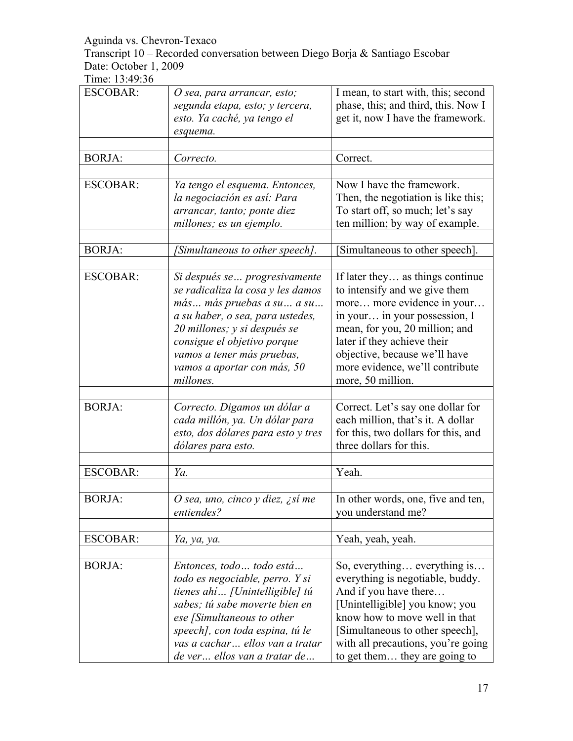Transcript 10 – Recorded conversation between Diego Borja & Santiago Escobar Date: October 1, 2009

| <b>ESCOBAR:</b> | O sea, para arrancar, esto;<br>segunda etapa, esto; y tercera,<br>esto. Ya caché, ya tengo el<br>esquema.                                                                                                                                                                     | I mean, to start with, this; second<br>phase, this; and third, this. Now I<br>get it, now I have the framework.                                                                                                                                                                            |
|-----------------|-------------------------------------------------------------------------------------------------------------------------------------------------------------------------------------------------------------------------------------------------------------------------------|--------------------------------------------------------------------------------------------------------------------------------------------------------------------------------------------------------------------------------------------------------------------------------------------|
| <b>BORJA:</b>   | Correcto.                                                                                                                                                                                                                                                                     | Correct.                                                                                                                                                                                                                                                                                   |
| <b>ESCOBAR:</b> | Ya tengo el esquema. Entonces,<br>la negociación es así: Para<br>arrancar, tanto; ponte diez<br>millones; es un ejemplo.                                                                                                                                                      | Now I have the framework.<br>Then, the negotiation is like this;<br>To start off, so much; let's say<br>ten million; by way of example.                                                                                                                                                    |
| <b>BORJA:</b>   | [Simultaneous to other speech].                                                                                                                                                                                                                                               | Simultaneous to other speech].                                                                                                                                                                                                                                                             |
| <b>ESCOBAR:</b> | Si después se  progresivamente<br>se radicaliza la cosa y les damos<br>más más pruebas a su a su<br>a su haber, o sea, para ustedes,<br>20 millones; y si después se<br>consigue el objetivo porque<br>vamos a tener más pruebas,<br>vamos a aportar con más, 50<br>millones. | If later they as things continue<br>to intensify and we give them<br>more more evidence in your<br>in your in your possession, I<br>mean, for you, 20 million; and<br>later if they achieve their<br>objective, because we'll have<br>more evidence, we'll contribute<br>more, 50 million. |
| <b>BORJA:</b>   | Correcto. Digamos un dólar a<br>cada millón, ya. Un dólar para<br>esto, dos dólares para esto y tres<br>dólares para esto.                                                                                                                                                    | Correct. Let's say one dollar for<br>each million, that's it. A dollar<br>for this, two dollars for this, and<br>three dollars for this.                                                                                                                                                   |
| <b>ESCOBAR:</b> | Ya.                                                                                                                                                                                                                                                                           | Yeah.                                                                                                                                                                                                                                                                                      |
| <b>BORJA:</b>   | O sea, uno, cinco y diez, ¿sí me<br>entiendes?                                                                                                                                                                                                                                | In other words, one, five and ten,<br>you understand me?                                                                                                                                                                                                                                   |
| <b>ESCOBAR:</b> | Ya, ya, ya.                                                                                                                                                                                                                                                                   | Yeah, yeah, yeah.                                                                                                                                                                                                                                                                          |
| <b>BORJA:</b>   | Entonces, todo  todo está<br>todo es negociable, perro. Y si<br>tienes ahí [Unintelligible] tú<br>sabes; tú sabe moverte bien en<br>ese [Simultaneous to other<br>speech], con toda espina, tú le<br>vas a cachar ellos van a tratar<br>de ver ellos van a tratar de          | So, everything everything is<br>everything is negotiable, buddy.<br>And if you have there<br>[Unintelligible] you know; you<br>know how to move well in that<br>[Simultaneous to other speech],<br>with all precautions, you're going<br>to get them they are going to                     |